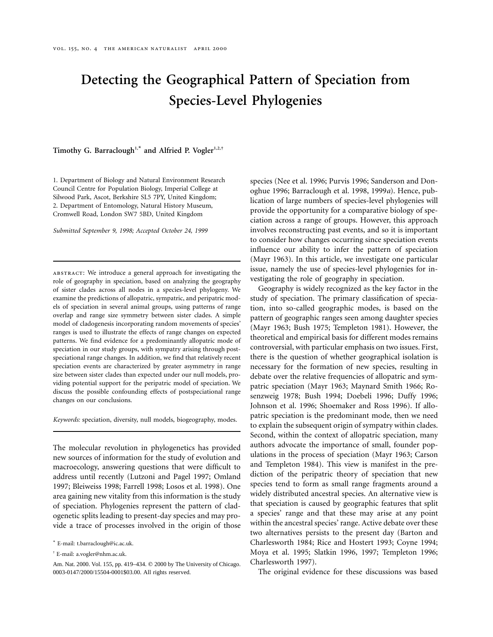# **Detecting the Geographical Pattern of Speciation from Species-Level Phylogenies**

**Timothy G. Barraclough1,\* and Alfried P. Vogler1,2,†**

1. Department of Biology and Natural Environment Research Council Centre for Population Biology, Imperial College at Silwood Park, Ascot, Berkshire SL5 7PY, United Kingdom; 2. Department of Entomology, Natural History Museum, Cromwell Road, London SW7 5BD, United Kingdom

*Submitted September 9, 1998; Accepted October 24, 1999*

abstract: We introduce a general approach for investigating the role of geography in speciation, based on analyzing the geography of sister clades across all nodes in a species-level phylogeny. We examine the predictions of allopatric, sympatric, and peripatric models of speciation in several animal groups, using patterns of range overlap and range size symmetry between sister clades. A simple model of cladogenesis incorporating random movements of species' ranges is used to illustrate the effects of range changes on expected patterns. We find evidence for a predominantly allopatric mode of speciation in our study groups, with sympatry arising through postspeciational range changes. In addition, we find that relatively recent speciation events are characterized by greater asymmetry in range size between sister clades than expected under our null models, providing potential support for the peripatric model of speciation. We discuss the possible confounding effects of postspeciational range changes on our conclusions.

*Keywords:* speciation, diversity, null models, biogeography, modes.

The molecular revolution in phylogenetics has provided new sources of information for the study of evolution and macroecology, answering questions that were difficult to address until recently (Lutzoni and Pagel 1997; Omland 1997; Bleiweiss 1998; Farrell 1998; Losos et al. 1998). One area gaining new vitality from this information is the study of speciation. Phylogenies represent the pattern of cladogenetic splits leading to present-day species and may provide a trace of processes involved in the origin of those

† E-mail: a.vogler@nhm.ac.uk.

species (Nee et al. 1996; Purvis 1996; Sanderson and Donoghue 1996; Barraclough et al. 1998, 1999*a*). Hence, publication of large numbers of species-level phylogenies will provide the opportunity for a comparative biology of speciation across a range of groups. However, this approach involves reconstructing past events, and so it is important to consider how changes occurring since speciation events influence our ability to infer the pattern of speciation (Mayr 1963). In this article, we investigate one particular issue, namely the use of species-level phylogenies for investigating the role of geography in speciation.

Geography is widely recognized as the key factor in the study of speciation. The primary classification of speciation, into so-called geographic modes, is based on the pattern of geographic ranges seen among daughter species (Mayr 1963; Bush 1975; Templeton 1981). However, the theoretical and empirical basis for different modes remains controversial, with particular emphasis on two issues. First, there is the question of whether geographical isolation is necessary for the formation of new species, resulting in debate over the relative frequencies of allopatric and sympatric speciation (Mayr 1963; Maynard Smith 1966; Rosenzweig 1978; Bush 1994; Doebeli 1996; Duffy 1996; Johnson et al. 1996; Shoemaker and Ross 1996). If allopatric speciation is the predominant mode, then we need to explain the subsequent origin of sympatry within clades. Second, within the context of allopatric speciation, many authors advocate the importance of small, founder populations in the process of speciation (Mayr 1963; Carson and Templeton 1984). This view is manifest in the prediction of the peripatric theory of speciation that new species tend to form as small range fragments around a widely distributed ancestral species. An alternative view is that speciation is caused by geographic features that split a species' range and that these may arise at any point within the ancestral species' range. Active debate over these two alternatives persists to the present day (Barton and Charlesworth 1984; Rice and Hostert 1993; Coyne 1994; Moya et al. 1995; Slatkin 1996, 1997; Templeton 1996; Charlesworth 1997).

The original evidence for these discussions was based

<sup>\*</sup> E-mail: t.barraclough@ic.ac.uk.

Am. Nat. 2000. Vol. 155, pp. 419–434. © 2000 by The University of Chicago. 0003-0147/2000/15504-0001\$03.00. All rights reserved.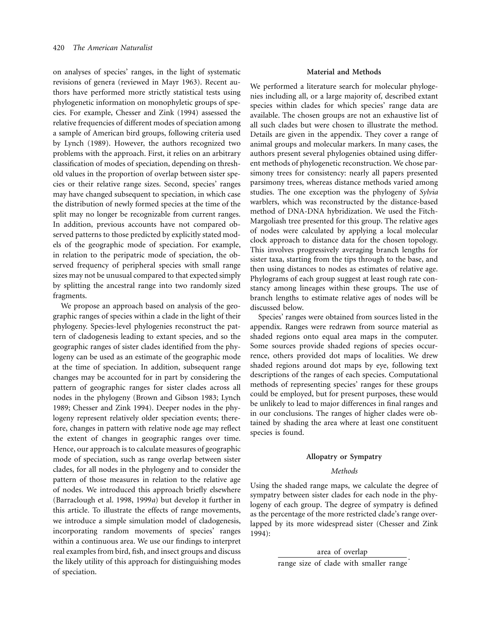on analyses of species' ranges, in the light of systematic revisions of genera (reviewed in Mayr 1963). Recent authors have performed more strictly statistical tests using phylogenetic information on monophyletic groups of species. For example, Chesser and Zink (1994) assessed the relative frequencies of different modes of speciation among a sample of American bird groups, following criteria used by Lynch (1989). However, the authors recognized two problems with the approach. First, it relies on an arbitrary classification of modes of speciation, depending on threshold values in the proportion of overlap between sister species or their relative range sizes. Second, species' ranges may have changed subsequent to speciation, in which case the distribution of newly formed species at the time of the split may no longer be recognizable from current ranges. In addition, previous accounts have not compared observed patterns to those predicted by explicitly stated models of the geographic mode of speciation. For example, in relation to the peripatric mode of speciation, the observed frequency of peripheral species with small range sizes may not be unusual compared to that expected simply by splitting the ancestral range into two randomly sized fragments.

We propose an approach based on analysis of the geographic ranges of species within a clade in the light of their phylogeny. Species-level phylogenies reconstruct the pattern of cladogenesis leading to extant species, and so the geographic ranges of sister clades identified from the phylogeny can be used as an estimate of the geographic mode at the time of speciation. In addition, subsequent range changes may be accounted for in part by considering the pattern of geographic ranges for sister clades across all nodes in the phylogeny (Brown and Gibson 1983; Lynch 1989; Chesser and Zink 1994). Deeper nodes in the phylogeny represent relatively older speciation events; therefore, changes in pattern with relative node age may reflect the extent of changes in geographic ranges over time. Hence, our approach is to calculate measures of geographic mode of speciation, such as range overlap between sister clades, for all nodes in the phylogeny and to consider the pattern of those measures in relation to the relative age of nodes. We introduced this approach briefly elsewhere (Barraclough et al. 1998, 1999*a*) but develop it further in this article. To illustrate the effects of range movements, we introduce a simple simulation model of cladogenesis, incorporating random movements of species' ranges within a continuous area. We use our findings to interpret real examples from bird, fish, and insect groups and discuss the likely utility of this approach for distinguishing modes of speciation.

# **Material and Methods**

We performed a literature search for molecular phylogenies including all, or a large majority of, described extant species within clades for which species' range data are available. The chosen groups are not an exhaustive list of all such clades but were chosen to illustrate the method. Details are given in the appendix. They cover a range of animal groups and molecular markers. In many cases, the authors present several phylogenies obtained using different methods of phylogenetic reconstruction. We chose parsimony trees for consistency: nearly all papers presented parsimony trees, whereas distance methods varied among studies. The one exception was the phylogeny of *Sylvia* warblers, which was reconstructed by the distance-based method of DNA-DNA hybridization. We used the Fitch-Margoliash tree presented for this group. The relative ages of nodes were calculated by applying a local molecular clock approach to distance data for the chosen topology. This involves progressively averaging branch lengths for sister taxa, starting from the tips through to the base, and then using distances to nodes as estimates of relative age. Phylograms of each group suggest at least rough rate constancy among lineages within these groups. The use of branch lengths to estimate relative ages of nodes will be discussed below.

Species' ranges were obtained from sources listed in the appendix. Ranges were redrawn from source material as shaded regions onto equal area maps in the computer. Some sources provide shaded regions of species occurrence, others provided dot maps of localities. We drew shaded regions around dot maps by eye, following text descriptions of the ranges of each species. Computational methods of representing species' ranges for these groups could be employed, but for present purposes, these would be unlikely to lead to major differences in final ranges and in our conclusions. The ranges of higher clades were obtained by shading the area where at least one constituent species is found.

## **Allopatry or Sympatry**

#### *Methods*

Using the shaded range maps, we calculate the degree of sympatry between sister clades for each node in the phylogeny of each group. The degree of sympatry is defined as the percentage of the more restricted clade's range overlapped by its more widespread sister (Chesser and Zink 1994):

area of overlap<br>
range size of clade with smaller range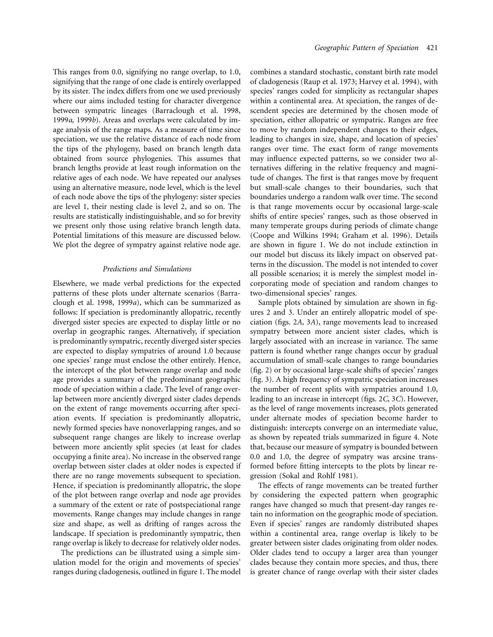This ranges from 0.0, signifying no range overlap, to 1.0, signifying that the range of one clade is entirely overlapped by its sister. The index differs from one we used previously where our aims included testing for character divergence between sympatric lineages (Barraclough et al. 1998, 1999*a*, 1999*b*). Areas and overlaps were calculated by image analysis of the range maps. As a measure of time since speciation, we use the relative distance of each node from the tips of the phylogeny, based on branch length data obtained from source phylogenies. This assumes that branch lengths provide at least rough information on the relative ages of each node. We have repeated our analyses using an alternative measure, node level, which is the level of each node above the tips of the phylogeny: sister species are level 1, their nesting clade is level 2, and so on. The results are statistically indistinguishable, and so for brevity we present only those using relative branch length data. Potential limitations of this measure are discussed below. We plot the degree of sympatry against relative node age.

## *Predictions and Simulations*

Elsewhere, we made verbal predictions for the expected patterns of these plots under alternate scenarios (Barraclough et al. 1998, 1999*a*), which can be summarized as follows: If speciation is predominantly allopatric, recently diverged sister species are expected to display little or no overlap in geographic ranges. Alternatively, if speciation is predominantly sympatric, recently diverged sister species are expected to display sympatries of around 1.0 because one species' range must enclose the other entirely. Hence, the intercept of the plot between range overlap and node age provides a summary of the predominant geographic mode of speciation within a clade. The level of range overlap between more anciently diverged sister clades depends on the extent of range movements occurring after speciation events. If speciation is predominantly allopatric, newly formed species have nonoverlapping ranges, and so subsequent range changes are likely to increase overlap between more anciently split species (at least for clades occupying a finite area). No increase in the observed range overlap between sister clades at older nodes is expected if there are no range movements subsequent to speciation. Hence, if speciation is predominantly allopatric, the slope of the plot between range overlap and node age provides a summary of the extent or rate of postspeciational range movements. Range changes may include changes in range size and shape, as well as drifting of ranges across the landscape. If speciation is predominantly sympatric, then range overlap is likely to decrease for relatively older nodes.

The predictions can be illustrated using a simple simulation model for the origin and movements of species' ranges during cladogenesis, outlined in figure 1. The model combines a standard stochastic, constant birth rate model of cladogenesis (Raup et al. 1973; Harvey et al. 1994), with species' ranges coded for simplicity as rectangular shapes within a continental area. At speciation, the ranges of descendent species are determined by the chosen mode of speciation, either allopatric or sympatric. Ranges are free to move by random independent changes to their edges, leading to changes in size, shape, and location of species' ranges over time. The exact form of range movements may influence expected patterns, so we consider two alternatives differing in the relative frequency and magnitude of changes. The first is that ranges move by frequent but small-scale changes to their boundaries, such that boundaries undergo a random walk over time. The second is that range movements occur by occasional large-scale shifts of entire species' ranges, such as those observed in many temperate groups during periods of climate change (Coope and Wilkins 1994; Graham et al. 1996). Details are shown in figure 1. We do not include extinction in our model but discuss its likely impact on observed patterns in the discussion. The model is not intended to cover all possible scenarios; it is merely the simplest model incorporating mode of speciation and random changes to two-dimensional species' ranges.

Sample plots obtained by simulation are shown in figures 2 and 3. Under an entirely allopatric model of speciation (figs. 2*A*, 3*A*), range movements lead to increased sympatry between more ancient sister clades, which is largely associated with an increase in variance. The same pattern is found whether range changes occur by gradual accumulation of small-scale changes to range boundaries (fig. 2) or by occasional large-scale shifts of species' ranges (fig. 3). A high frequency of sympatric speciation increases the number of recent splits with sympatries around 1.0, leading to an increase in intercept (figs. 2*C*, 3*C*). However, as the level of range movements increases, plots generated under alternate modes of speciation become harder to distinguish: intercepts converge on an intermediate value, as shown by repeated trials summarized in figure 4. Note that, because our measure of sympatry is bounded between 0.0 and 1.0, the degree of sympatry was arcsine transformed before fitting intercepts to the plots by linear regression (Sokal and Rohlf 1981).

The effects of range movements can be treated further by considering the expected pattern when geographic ranges have changed so much that present-day ranges retain no information on the geographic mode of speciation. Even if species' ranges are randomly distributed shapes within a continental area, range overlap is likely to be greater between sister clades originating from older nodes. Older clades tend to occupy a larger area than younger clades because they contain more species, and thus, there is greater chance of range overlap with their sister clades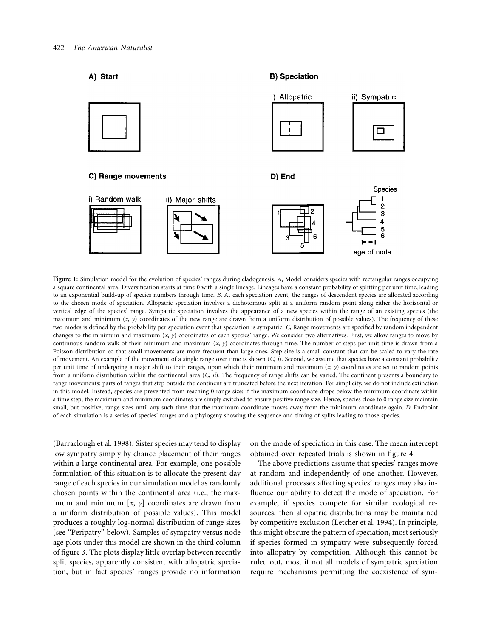## 422 *The American Naturalist*

A) Start

#### **B)** Speciation



**Figure 1:** Simulation model for the evolution of species' ranges during cladogenesis. *A*, Model considers species with rectangular ranges occupying a square continental area. Diversification starts at time 0 with a single lineage. Lineages have a constant probability of splitting per unit time, leading to an exponential build-up of species numbers through time. *B*, At each speciation event, the ranges of descendent species are allocated according to the chosen mode of speciation. Allopatric speciation involves a dichotomous split at a uniform random point along either the horizontal or vertical edge of the species' range. Sympatric speciation involves the appearance of a new species within the range of an existing species (the maximum and minimum (*x*, *y*) coordinates of the new range are drawn from a uniform distribution of possible values). The frequency of these two modes is defined by the probability per speciation event that speciation is sympatric. *C*, Range movements are specified by random independent changes to the minimum and maximum (*x*, *y*) coordinates of each species' range. We consider two alternatives. First, we allow ranges to move by continuous random walk of their minimum and maximum (*x*, *y*) coordinates through time. The number of steps per unit time is drawn from a Poisson distribution so that small movements are more frequent than large ones. Step size is a small constant that can be scaled to vary the rate of movement. An example of the movement of a single range over time is shown (*C*, *i*). Second, we assume that species have a constant probability per unit time of undergoing a major shift to their ranges, upon which their minimum and maximum (*x*, *y*) coordinates are set to random points from a uniform distribution within the continental area (*C*, *ii*). The frequency of range shifts can be varied. The continent presents a boundary to range movements: parts of ranges that step outside the continent are truncated before the next iteration. For simplicity, we do not include extinction in this model. Instead, species are prevented from reaching 0 range size: if the maximum coordinate drops below the minimum coordinate within a time step, the maximum and minimum coordinates are simply switched to ensure positive range size. Hence, species close to 0 range size maintain small, but positive, range sizes until any such time that the maximum coordinate moves away from the minimum coordinate again. *D*, Endpoint of each simulation is a series of species' ranges and a phylogeny showing the sequence and timing of splits leading to those species.

(Barraclough et al. 1998). Sister species may tend to display low sympatry simply by chance placement of their ranges within a large continental area. For example, one possible formulation of this situation is to allocate the present-day range of each species in our simulation model as randomly chosen points within the continental area (i.e., the maximum and minimum [*x*, *y*] coordinates are drawn from a uniform distribution of possible values). This model produces a roughly log-normal distribution of range sizes (see "Peripatry" below). Samples of sympatry versus node age plots under this model are shown in the third column of figure 3. The plots display little overlap between recently split species, apparently consistent with allopatric speciation, but in fact species' ranges provide no information

on the mode of speciation in this case. The mean intercept obtained over repeated trials is shown in figure 4.

age of node

The above predictions assume that species' ranges move at random and independently of one another. However, additional processes affecting species' ranges may also influence our ability to detect the mode of speciation. For example, if species compete for similar ecological resources, then allopatric distributions may be maintained by competitive exclusion (Letcher et al. 1994). In principle, this might obscure the pattern of speciation, most seriously if species formed in sympatry were subsequently forced into allopatry by competition. Although this cannot be ruled out, most if not all models of sympatric speciation require mechanisms permitting the coexistence of sym-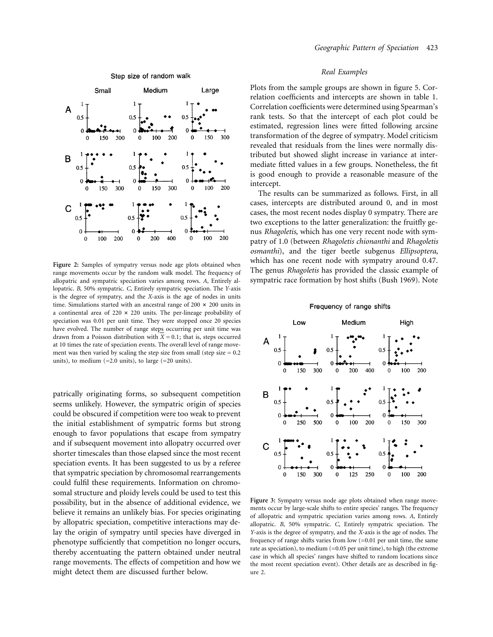

**Figure 2:** Samples of sympatry versus node age plots obtained when range movements occur by the random walk model. The frequency of allopatric and sympatric speciation varies among rows. *A*, Entirely allopatric. *B*, 50% sympatric. *C*, Entirely sympatric speciation. The *Y*-axis is the degree of sympatry, and the *X*-axis is the age of nodes in units time. Simulations started with an ancestral range of  $200 \times 200$  units in a continental area of  $220 \times 220$  units. The per-lineage probability of speciation was 0.01 per unit time. They were stopped once 20 species have evolved. The number of range steps occurring per unit time was drawn from a Poisson distribution with  $X = 0.1$ ; that is, steps occurred at 10 times the rate of speciation events. The overall level of range movement was then varied by scaling the step size from small (step size  $= 0.2$ ) units), to medium  $(=2.0 \text{ units})$ , to large  $(=20 \text{ units})$ .

patrically originating forms, so subsequent competition seems unlikely. However, the sympatric origin of species could be obscured if competition were too weak to prevent the initial establishment of sympatric forms but strong enough to favor populations that escape from sympatry and if subsequent movement into allopatry occurred over shorter timescales than those elapsed since the most recent speciation events. It has been suggested to us by a referee that sympatric speciation by chromosomal rearrangements could fulfil these requirements. Information on chromosomal structure and ploidy levels could be used to test this possibility, but in the absence of additional evidence, we believe it remains an unlikely bias. For species originating by allopatric speciation, competitive interactions may delay the origin of sympatry until species have diverged in phenotype sufficiently that competition no longer occurs, thereby accentuating the pattern obtained under neutral range movements. The effects of competition and how we might detect them are discussed further below.

# *Real Examples*

Plots from the sample groups are shown in figure 5. Correlation coefficients and intercepts are shown in table 1. Correlation coefficients were determined using Spearman's rank tests. So that the intercept of each plot could be estimated, regression lines were fitted following arcsine transformation of the degree of sympatry. Model criticism revealed that residuals from the lines were normally distributed but showed slight increase in variance at intermediate fitted values in a few groups. Nonetheless, the fit is good enough to provide a reasonable measure of the intercept.

The results can be summarized as follows. First, in all cases, intercepts are distributed around 0, and in most cases, the most recent nodes display 0 sympatry. There are two exceptions to the latter generalization: the fruitfly genus *Rhagoletis*, which has one very recent node with sympatry of 1.0 (between *Rhagoletis chionanthi* and *Rhagoletis osmanthi*), and the tiger beetle subgenus *Ellipsoptera*, which has one recent node with sympatry around 0.47. The genus *Rhagoletis* has provided the classic example of sympatric race formation by host shifts (Bush 1969). Note

## Frequency of range shifts



**Figure 3:** Sympatry versus node age plots obtained when range movements occur by large-scale shifts to entire species' ranges. The frequency of allopatric and sympatric speciation varies among rows. *A*, Entirely allopatric. *B*, 50% sympatric. *C*, Entirely sympatric speciation. The *Y*-axis is the degree of sympatry, and the *X*-axis is the age of nodes. The frequency of range shifts varies from low (=0.01 per unit time, the same rate as speciation), to medium (=0.05 per unit time), to high (the extreme case in which all species' ranges have shifted to random locations since the most recent speciation event). Other details are as described in figure 2.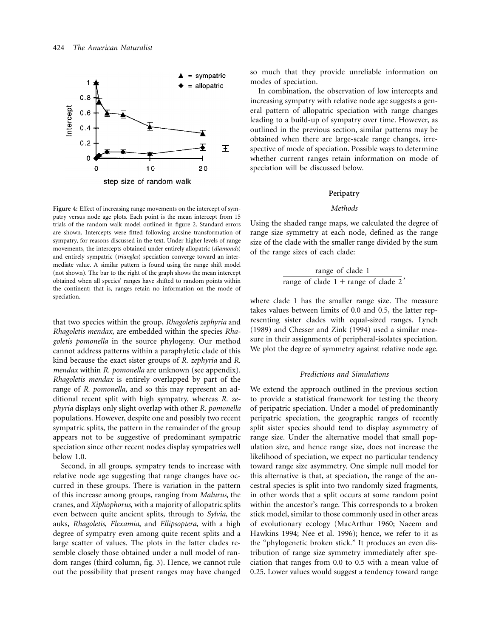

**Figure 4:** Effect of increasing range movements on the intercept of sympatry versus node age plots. Each point is the mean intercept from 15 trials of the random walk model outlined in figure 2. Standard errors are shown. Intercepts were fitted following arcsine transformation of sympatry, for reasons discussed in the text. Under higher levels of range movements, the intercepts obtained under entirely allopatric (*diamonds*) and entirely sympatric (*triangles*) speciation converge toward an intermediate value. A similar pattern is found using the range shift model (not shown). The bar to the right of the graph shows the mean intercept obtained when all species' ranges have shifted to random points within the continent; that is, ranges retain no information on the mode of speciation.

that two species within the group, *Rhagoletis zephyria* and *Rhagoletis mendax*, are embedded within the species *Rhagoletis pomonella* in the source phylogeny. Our method cannot address patterns within a paraphyletic clade of this kind because the exact sister groups of *R. zephyria* and *R. mendax* within *R. pomonella* are unknown (see appendix). *Rhagoletis mendax* is entirely overlapped by part of the range of *R. pomonella*, and so this may represent an additional recent split with high sympatry, whereas *R. zephyria* displays only slight overlap with other *R. pomonella* populations. However, despite one and possibly two recent sympatric splits, the pattern in the remainder of the group appears not to be suggestive of predominant sympatric speciation since other recent nodes display sympatries well below 1.0.

Second, in all groups, sympatry tends to increase with relative node age suggesting that range changes have occurred in these groups. There is variation in the pattern of this increase among groups, ranging from *Malurus*, the cranes, and *Xiphophorus*, with a majority of allopatric splits even between quite ancient splits, through to *Sylvia*, the auks, *Rhagoletis*, *Flexamia*, and *Ellipsoptera*, with a high degree of sympatry even among quite recent splits and a large scatter of values. The plots in the latter clades resemble closely those obtained under a null model of random ranges (third column, fig. 3). Hence, we cannot rule out the possibility that present ranges may have changed so much that they provide unreliable information on modes of speciation.

In combination, the observation of low intercepts and increasing sympatry with relative node age suggests a general pattern of allopatric speciation with range changes leading to a build-up of sympatry over time. However, as outlined in the previous section, similar patterns may be obtained when there are large-scale range changes, irrespective of mode of speciation. Possible ways to determine whether current ranges retain information on mode of speciation will be discussed below.

## **Peripatry**

#### *Methods*

Using the shaded range maps, we calculated the degree of range size symmetry at each node, defined as the range size of the clade with the smaller range divided by the sum of the range sizes of each clade:

range of clade 1<br>range of clade  $1 + \text{range of }$  clade  $2$ ,

where clade 1 has the smaller range size. The measure takes values between limits of 0.0 and 0.5, the latter representing sister clades with equal-sized ranges. Lynch (1989) and Chesser and Zink (1994) used a similar measure in their assignments of peripheral-isolates speciation. We plot the degree of symmetry against relative node age.

## *Predictions and Simulations*

We extend the approach outlined in the previous section to provide a statistical framework for testing the theory of peripatric speciation. Under a model of predominantly peripatric speciation, the geographic ranges of recently split sister species should tend to display asymmetry of range size. Under the alternative model that small population size, and hence range size, does not increase the likelihood of speciation, we expect no particular tendency toward range size asymmetry. One simple null model for this alternative is that, at speciation, the range of the ancestral species is split into two randomly sized fragments, in other words that a split occurs at some random point within the ancestor's range. This corresponds to a broken stick model, similar to those commonly used in other areas of evolutionary ecology (MacArthur 1960; Naeem and Hawkins 1994; Nee et al. 1996); hence, we refer to it as the "phylogenetic broken stick." It produces an even distribution of range size symmetry immediately after speciation that ranges from 0.0 to 0.5 with a mean value of 0.25. Lower values would suggest a tendency toward range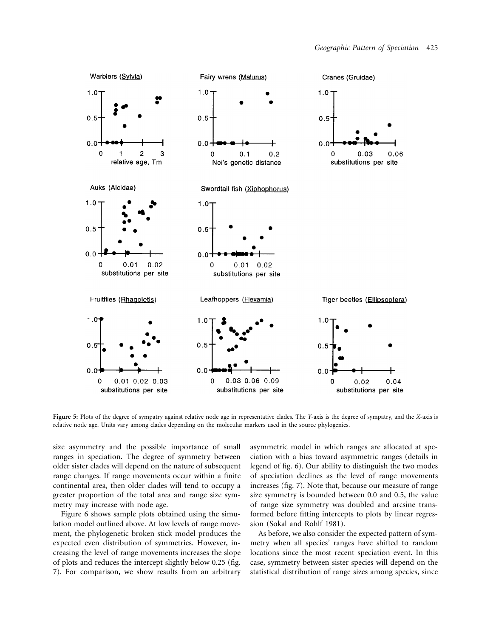

**Figure 5:** Plots of the degree of sympatry against relative node age in representative clades. The *Y*-axis is the degree of sympatry, and the *X*-axis is relative node age. Units vary among clades depending on the molecular markers used in the source phylogenies.

size asymmetry and the possible importance of small ranges in speciation. The degree of symmetry between older sister clades will depend on the nature of subsequent range changes. If range movements occur within a finite continental area, then older clades will tend to occupy a greater proportion of the total area and range size symmetry may increase with node age.

Figure 6 shows sample plots obtained using the simulation model outlined above. At low levels of range movement, the phylogenetic broken stick model produces the expected even distribution of symmetries. However, increasing the level of range movements increases the slope of plots and reduces the intercept slightly below 0.25 (fig. 7). For comparison, we show results from an arbitrary asymmetric model in which ranges are allocated at speciation with a bias toward asymmetric ranges (details in legend of fig. 6). Our ability to distinguish the two modes of speciation declines as the level of range movements increases (fig. 7). Note that, because our measure of range size symmetry is bounded between 0.0 and 0.5, the value of range size symmetry was doubled and arcsine transformed before fitting intercepts to plots by linear regression (Sokal and Rohlf 1981).

As before, we also consider the expected pattern of symmetry when all species' ranges have shifted to random locations since the most recent speciation event. In this case, symmetry between sister species will depend on the statistical distribution of range sizes among species, since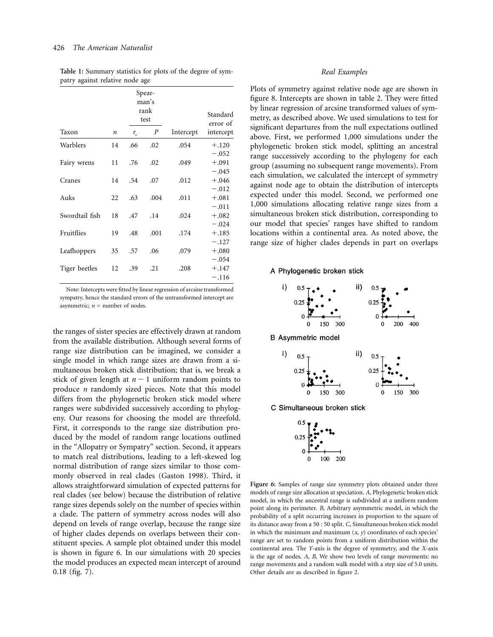|                |                  |             | Spear-<br>man's<br>rank<br>test |           | Standard<br>error of |
|----------------|------------------|-------------|---------------------------------|-----------|----------------------|
| Taxon          | $\boldsymbol{n}$ | $r_{\rm s}$ | $\boldsymbol{P}$                | Intercept | intercept            |
| Warblers       | 14               | .66         | .02                             | .054      | $+.120$              |
|                |                  |             |                                 |           | $-.052$              |
| Fairy wrens    | 11               | .76         | .02                             | .049      | $+.091$              |
|                |                  |             |                                 |           | $-.045$              |
| Cranes         | 14               | .54         | .07                             | .012      | $+.046$              |
|                |                  |             |                                 |           | $-.012$              |
| Auks           | 22               | .63         | .004                            | .011      | $+.081$              |
|                |                  |             |                                 |           | $-.011$              |
| Swordtail fish | 18               | .47         | .14                             | .024      | $+.082$              |
|                |                  |             |                                 |           | $-.024$              |
| Fruitflies     | 19               | .48         | .001                            | .174      | $+.185$              |
|                |                  |             |                                 |           | $-.127$              |
| Leafhoppers    | 35               | .57         | .06                             | .079      | $+.080$<br>$-.054$   |
|                | 12               |             | .21                             |           | $+.147$              |
| Tiger beetles  |                  | .39         |                                 | .208      | $-.116$              |
|                |                  |             |                                 |           |                      |

**Table 1:** Summary statistics for plots of the degree of sympatry against relative node age

Note: Intercepts were fitted by linear regression of arcsine transformed sympatry, hence the standard errors of the untransformed intercept are asymmetric;  $n =$  number of nodes.

the ranges of sister species are effectively drawn at random from the available distribution. Although several forms of range size distribution can be imagined, we consider a single model in which range sizes are drawn from a simultaneous broken stick distribution; that is, we break a stick of given length at  $n-1$  uniform random points to produce *n* randomly sized pieces. Note that this model differs from the phylogenetic broken stick model where ranges were subdivided successively according to phylogeny. Our reasons for choosing the model are threefold. First, it corresponds to the range size distribution produced by the model of random range locations outlined in the "Allopatry or Sympatry" section. Second, it appears to match real distributions, leading to a left-skewed log normal distribution of range sizes similar to those commonly observed in real clades (Gaston 1998). Third, it allows straightforward simulation of expected patterns for real clades (see below) because the distribution of relative range sizes depends solely on the number of species within a clade. The pattern of symmetry across nodes will also depend on levels of range overlap, because the range size of higher clades depends on overlaps between their constituent species. A sample plot obtained under this model is shown in figure 6. In our simulations with 20 species the model produces an expected mean intercept of around 0.18 (fig. 7).

## *Real Examples*

Plots of symmetry against relative node age are shown in figure 8. Intercepts are shown in table 2. They were fitted by linear regression of arcsine transformed values of symmetry, as described above. We used simulations to test for significant departures from the null expectations outlined above. First, we performed 1,000 simulations under the phylogenetic broken stick model, splitting an ancestral range successively according to the phylogeny for each group (assuming no subsequent range movements). From each simulation, we calculated the intercept of symmetry against node age to obtain the distribution of intercepts expected under this model. Second, we performed one 1,000 simulations allocating relative range sizes from a simultaneous broken stick distribution, corresponding to our model that species' ranges have shifted to random locations within a continental area. As noted above, the range size of higher clades depends in part on overlaps

## A Phylogenetic broken stick



**B** Asymmetric model







Figure 6: Samples of range size symmetry plots obtained under three models of range size allocation at speciation. *A*, Phylogenetic broken stick model, in which the ancestral range is subdivided at a uniform random point along its perimeter. *B*, Arbitrary asymmetric model, in which the probability of a split occurring increases in proportion to the square of its distance away from a 50 : 50 split. *C*, Simultaneous broken stick model in which the minimum and maximum (*x*, *y*) coordinates of each species' range are set to random points from a uniform distribution within the continental area. The *Y*-axis is the degree of symmetry, and the *X*-axis is the age of nodes. *A*, *B*, We show two levels of range movements: no range movements and a random walk model with a step size of 5.0 units. Other details are as described in figure 2.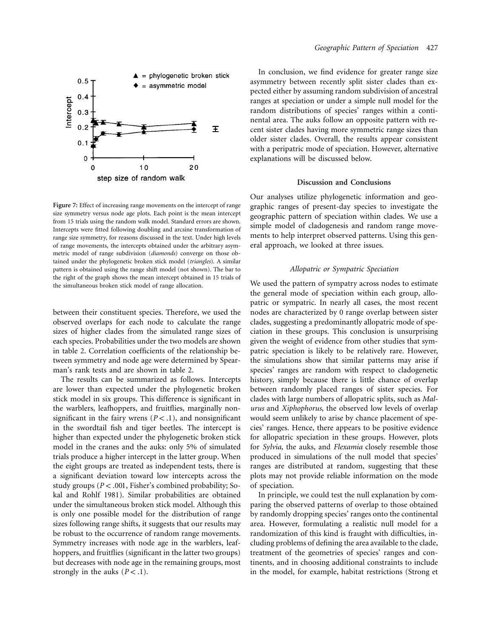

**Figure 7:** Effect of increasing range movements on the intercept of range size symmetry versus node age plots. Each point is the mean intercept from 15 trials using the random walk model. Standard errors are shown. Intercepts were fitted following doubling and arcsine transformation of range size symmetry, for reasons discussed in the text. Under high levels of range movements, the intercepts obtained under the arbitrary asymmetric model of range subdivision (*diamonds*) converge on those obtained under the phylogenetic broken stick model (*triangles*). A similar pattern is obtained using the range shift model (not shown). The bar to the right of the graph shows the mean intercept obtained in 15 trials of the simultaneous broken stick model of range allocation.

between their constituent species. Therefore, we used the observed overlaps for each node to calculate the range sizes of higher clades from the simulated range sizes of each species. Probabilities under the two models are shown in table 2. Correlation coefficients of the relationship between symmetry and node age were determined by Spearman's rank tests and are shown in table 2.

The results can be summarized as follows. Intercepts are lower than expected under the phylogenetic broken stick model in six groups. This difference is significant in the warblers, leafhoppers, and fruitflies, marginally nonsignificant in the fairy wrens  $(P < .1)$ , and nonsignificant in the swordtail fish and tiger beetles. The intercept is higher than expected under the phylogenetic broken stick model in the cranes and the auks: only 5% of simulated trials produce a higher intercept in the latter group. When the eight groups are treated as independent tests, there is a significant deviation toward low intercepts across the study groups ( $P < .001$ , Fisher's combined probability; Sokal and Rohlf 1981). Similar probabilities are obtained under the simultaneous broken stick model. Although this is only one possible model for the distribution of range sizes following range shifts, it suggests that our results may be robust to the occurrence of random range movements. Symmetry increases with node age in the warblers, leafhoppers, and fruitflies (significant in the latter two groups) but decreases with node age in the remaining groups, most strongly in the auks  $(P < .1)$ .

In conclusion, we find evidence for greater range size asymmetry between recently split sister clades than expected either by assuming random subdivision of ancestral ranges at speciation or under a simple null model for the random distributions of species' ranges within a continental area. The auks follow an opposite pattern with recent sister clades having more symmetric range sizes than older sister clades. Overall, the results appear consistent with a peripatric mode of speciation. However, alternative explanations will be discussed below.

## **Discussion and Conclusions**

Our analyses utilize phylogenetic information and geographic ranges of present-day species to investigate the geographic pattern of speciation within clades. We use a simple model of cladogenesis and random range movements to help interpret observed patterns. Using this general approach, we looked at three issues.

# *Allopatric or Sympatric Speciation*

We used the pattern of sympatry across nodes to estimate the general mode of speciation within each group, allopatric or sympatric. In nearly all cases, the most recent nodes are characterized by 0 range overlap between sister clades, suggesting a predominantly allopatric mode of speciation in these groups. This conclusion is unsurprising given the weight of evidence from other studies that sympatric speciation is likely to be relatively rare. However, the simulations show that similar patterns may arise if species' ranges are random with respect to cladogenetic history, simply because there is little chance of overlap between randomly placed ranges of sister species. For clades with large numbers of allopatric splits, such as *Malurus* and *Xiphophorus*, the observed low levels of overlap would seem unlikely to arise by chance placement of species' ranges. Hence, there appears to be positive evidence for allopatric speciation in these groups. However, plots for *Sylvia*, the auks, and *Flexamia* closely resemble those produced in simulations of the null model that species' ranges are distributed at random, suggesting that these plots may not provide reliable information on the mode of speciation.

In principle, we could test the null explanation by comparing the observed patterns of overlap to those obtained by randomly dropping species' ranges onto the continental area. However, formulating a realistic null model for a randomization of this kind is fraught with difficulties, including problems of defining the area available to the clade, treatment of the geometries of species' ranges and continents, and in choosing additional constraints to include in the model, for example, habitat restrictions (Strong et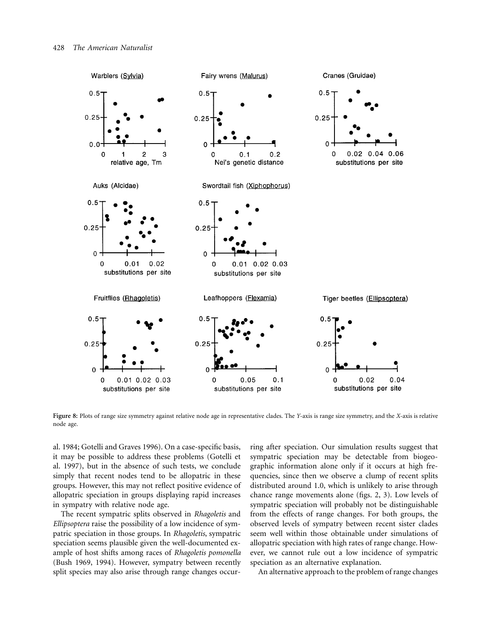

**Figure 8:** Plots of range size symmetry against relative node age in representative clades. The *Y*-axis is range size symmetry, and the *X*-axis is relative node age.

al. 1984; Gotelli and Graves 1996). On a case-specific basis, it may be possible to address these problems (Gotelli et al. 1997), but in the absence of such tests, we conclude simply that recent nodes tend to be allopatric in these groups. However, this may not reflect positive evidence of allopatric speciation in groups displaying rapid increases in sympatry with relative node age.

The recent sympatric splits observed in *Rhagoletis* and *Ellipsoptera* raise the possibility of a low incidence of sympatric speciation in those groups. In *Rhagoletis*, sympatric speciation seems plausible given the well-documented example of host shifts among races of *Rhagoletis pomonella* (Bush 1969, 1994). However, sympatry between recently split species may also arise through range changes occur-

ring after speciation. Our simulation results suggest that sympatric speciation may be detectable from biogeographic information alone only if it occurs at high frequencies, since then we observe a clump of recent splits distributed around 1.0, which is unlikely to arise through chance range movements alone (figs. 2, 3). Low levels of sympatric speciation will probably not be distinguishable from the effects of range changes. For both groups, the observed levels of sympatry between recent sister clades seem well within those obtainable under simulations of allopatric speciation with high rates of range change. However, we cannot rule out a low incidence of sympatric speciation as an alternative explanation.

An alternative approach to the problem of range changes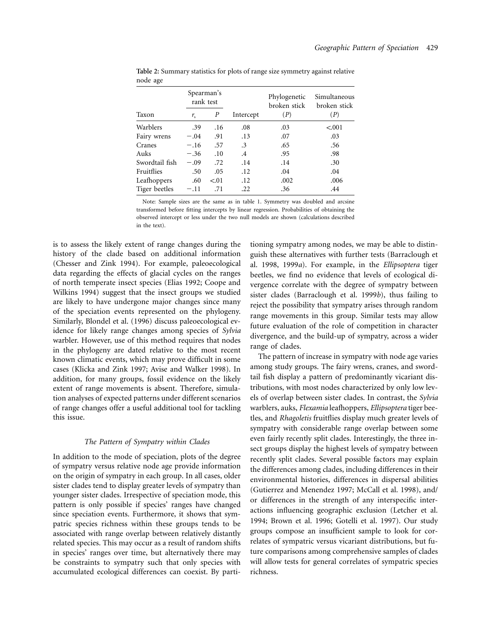|                | Spearman's<br>rank test |        |           | Phylogenetic<br>broken stick | Simultaneous<br>broken stick |  |
|----------------|-------------------------|--------|-----------|------------------------------|------------------------------|--|
| Taxon          | $r_{\rm s}$             | P      | Intercept | (P)                          | (P)                          |  |
| Warblers       | .39                     | .16    | .08       | .03                          | < 0.001                      |  |
| Fairy wrens    | $-.04$                  | .91    | .13       | .07                          | .03                          |  |
| Cranes         | $-.16$                  | .57    | $\cdot$ 3 | .65                          | .56                          |  |
| Auks           | $-.36$                  | .10    | $\cdot$   | .95                          | .98                          |  |
| Swordtail fish | $-.09$                  | .72    | .14       | .14                          | .30                          |  |
| Fruitflies     | .50                     | .05    | .12       | .04                          | .04                          |  |
| Leafhoppers    | .60                     | < 0.01 | .12       | .002                         | .006                         |  |
| Tiger beetles  | $-.11$                  | .71    | .22       | .36                          | .44                          |  |

**Table 2:** Summary statistics for plots of range size symmetry against relative node age

Note: Sample sizes are the same as in table 1. Symmetry was doubled and arcsine transformed before fitting intercepts by linear regression. Probabilities of obtaining the observed intercept or less under the two null models are shown (calculations described in the text).

is to assess the likely extent of range changes during the history of the clade based on additional information (Chesser and Zink 1994). For example, paleoecological data regarding the effects of glacial cycles on the ranges of north temperate insect species (Elias 1992; Coope and Wilkins 1994) suggest that the insect groups we studied are likely to have undergone major changes since many of the speciation events represented on the phylogeny. Similarly, Blondel et al. (1996) discuss paleoecological evidence for likely range changes among species of *Sylvia* warbler. However, use of this method requires that nodes in the phylogeny are dated relative to the most recent known climatic events, which may prove difficult in some cases (Klicka and Zink 1997; Avise and Walker 1998). In addition, for many groups, fossil evidence on the likely extent of range movements is absent. Therefore, simulation analyses of expected patterns under different scenarios of range changes offer a useful additional tool for tackling this issue.

# *The Pattern of Sympatry within Clades*

In addition to the mode of speciation, plots of the degree of sympatry versus relative node age provide information on the origin of sympatry in each group. In all cases, older sister clades tend to display greater levels of sympatry than younger sister clades. Irrespective of speciation mode, this pattern is only possible if species' ranges have changed since speciation events. Furthermore, it shows that sympatric species richness within these groups tends to be associated with range overlap between relatively distantly related species. This may occur as a result of random shifts in species' ranges over time, but alternatively there may be constraints to sympatry such that only species with accumulated ecological differences can coexist. By parti-

tioning sympatry among nodes, we may be able to distinguish these alternatives with further tests (Barraclough et al. 1998, 1999*a*). For example, in the *Ellipsoptera* tiger beetles, we find no evidence that levels of ecological divergence correlate with the degree of sympatry between sister clades (Barraclough et al. 1999*b*), thus failing to reject the possibility that sympatry arises through random range movements in this group. Similar tests may allow future evaluation of the role of competition in character divergence, and the build-up of sympatry, across a wider range of clades.

The pattern of increase in sympatry with node age varies among study groups. The fairy wrens, cranes, and swordtail fish display a pattern of predominantly vicariant distributions, with most nodes characterized by only low levels of overlap between sister clades. In contrast, the *Sylvia* warblers, auks, *Flexamia* leafhoppers, *Ellipsoptera* tiger beetles, and *Rhagoletis* fruitflies display much greater levels of sympatry with considerable range overlap between some even fairly recently split clades. Interestingly, the three insect groups display the highest levels of sympatry between recently split clades. Several possible factors may explain the differences among clades, including differences in their environmental histories, differences in dispersal abilities (Gutierrez and Menendez 1997; McCall et al. 1998), and/ or differences in the strength of any interspecific interactions influencing geographic exclusion (Letcher et al. 1994; Brown et al. 1996; Gotelli et al. 1997). Our study groups compose an insufficient sample to look for correlates of sympatric versus vicariant distributions, but future comparisons among comprehensive samples of clades will allow tests for general correlates of sympatric species richness.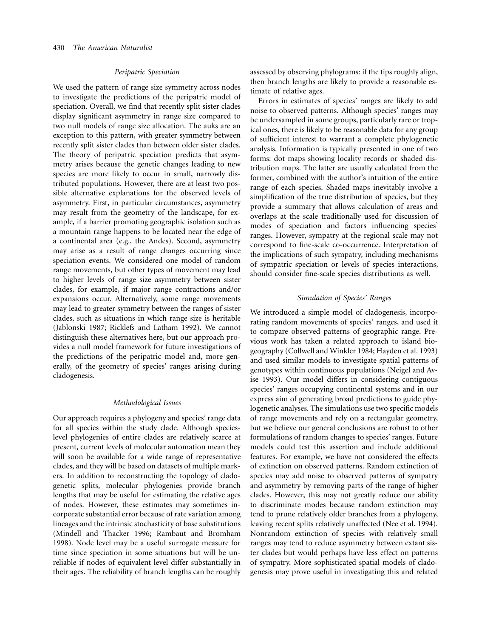## *Peripatric Speciation*

We used the pattern of range size symmetry across nodes to investigate the predictions of the peripatric model of speciation. Overall, we find that recently split sister clades display significant asymmetry in range size compared to two null models of range size allocation. The auks are an exception to this pattern, with greater symmetry between recently split sister clades than between older sister clades. The theory of peripatric speciation predicts that asymmetry arises because the genetic changes leading to new species are more likely to occur in small, narrowly distributed populations. However, there are at least two possible alternative explanations for the observed levels of asymmetry. First, in particular circumstances, asymmetry may result from the geometry of the landscape, for example, if a barrier promoting geographic isolation such as a mountain range happens to be located near the edge of a continental area (e.g., the Andes). Second, asymmetry may arise as a result of range changes occurring since speciation events. We considered one model of random range movements, but other types of movement may lead to higher levels of range size asymmetry between sister clades, for example, if major range contractions and/or expansions occur. Alternatively, some range movements may lead to greater symmetry between the ranges of sister clades, such as situations in which range size is heritable (Jablonski 1987; Ricklefs and Latham 1992). We cannot distinguish these alternatives here, but our approach provides a null model framework for future investigations of the predictions of the peripatric model and, more generally, of the geometry of species' ranges arising during cladogenesis.

# *Methodological Issues*

Our approach requires a phylogeny and species' range data for all species within the study clade. Although specieslevel phylogenies of entire clades are relatively scarce at present, current levels of molecular automation mean they will soon be available for a wide range of representative clades, and they will be based on datasets of multiple markers. In addition to reconstructing the topology of cladogenetic splits, molecular phylogenies provide branch lengths that may be useful for estimating the relative ages of nodes. However, these estimates may sometimes incorporate substantial error because of rate variation among lineages and the intrinsic stochasticity of base substitutions (Mindell and Thacker 1996; Rambaut and Bromham 1998). Node level may be a useful surrogate measure for time since speciation in some situations but will be unreliable if nodes of equivalent level differ substantially in their ages. The reliability of branch lengths can be roughly assessed by observing phylograms: if the tips roughly align, then branch lengths are likely to provide a reasonable estimate of relative ages.

Errors in estimates of species' ranges are likely to add noise to observed patterns. Although species' ranges may be undersampled in some groups, particularly rare or tropical ones, there is likely to be reasonable data for any group of sufficient interest to warrant a complete phylogenetic analysis. Information is typically presented in one of two forms: dot maps showing locality records or shaded distribution maps. The latter are usually calculated from the former, combined with the author's intuition of the entire range of each species. Shaded maps inevitably involve a simplification of the true distribution of species, but they provide a summary that allows calculation of areas and overlaps at the scale traditionally used for discussion of modes of speciation and factors influencing species' ranges. However, sympatry at the regional scale may not correspond to fine-scale co-occurrence. Interpretation of the implications of such sympatry, including mechanisms of sympatric speciation or levels of species interactions, should consider fine-scale species distributions as well.

## *Simulation of Species' Ranges*

We introduced a simple model of cladogenesis, incorporating random movements of species' ranges, and used it to compare observed patterns of geographic range. Previous work has taken a related approach to island biogeography (Collwell and Winkler 1984; Hayden et al. 1993) and used similar models to investigate spatial patterns of genotypes within continuous populations (Neigel and Avise 1993). Our model differs in considering contiguous species' ranges occupying continental systems and in our express aim of generating broad predictions to guide phylogenetic analyses. The simulations use two specific models of range movements and rely on a rectangular geometry, but we believe our general conclusions are robust to other formulations of random changes to species' ranges. Future models could test this assertion and include additional features. For example, we have not considered the effects of extinction on observed patterns. Random extinction of species may add noise to observed patterns of sympatry and asymmetry by removing parts of the range of higher clades. However, this may not greatly reduce our ability to discriminate modes because random extinction may tend to prune relatively older branches from a phylogeny, leaving recent splits relatively unaffected (Nee et al. 1994). Nonrandom extinction of species with relatively small ranges may tend to reduce asymmetry between extant sister clades but would perhaps have less effect on patterns of sympatry. More sophisticated spatial models of cladogenesis may prove useful in investigating this and related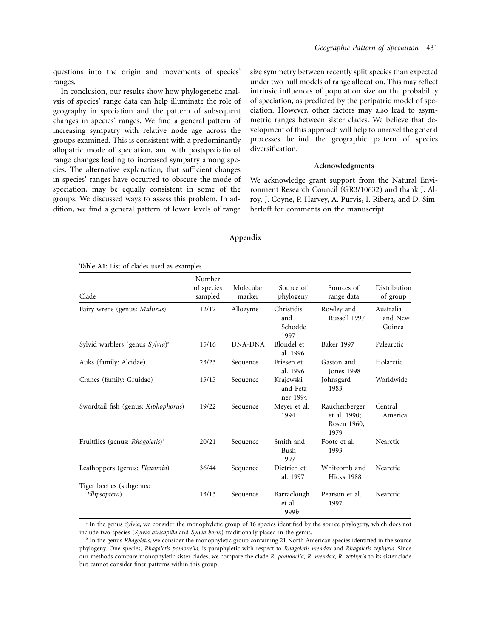questions into the origin and movements of species' ranges.

In conclusion, our results show how phylogenetic analysis of species' range data can help illuminate the role of geography in speciation and the pattern of subsequent changes in species' ranges. We find a general pattern of increasing sympatry with relative node age across the groups examined. This is consistent with a predominantly allopatric mode of speciation, and with postspeciational range changes leading to increased sympatry among species. The alternative explanation, that sufficient changes in species' ranges have occurred to obscure the mode of speciation, may be equally consistent in some of the groups. We discussed ways to assess this problem. In addition, we find a general pattern of lower levels of range size symmetry between recently split species than expected under two null models of range allocation. This may reflect intrinsic influences of population size on the probability of speciation, as predicted by the peripatric model of speciation. However, other factors may also lead to asymmetric ranges between sister clades. We believe that development of this approach will help to unravel the general processes behind the geographic pattern of species diversification.

# **Acknowledgments**

We acknowledge grant support from the Natural Environment Research Council (GR3/10632) and thank J. Alroy, J. Coyne, P. Harvey, A. Purvis, I. Ribera, and D. Simberloff for comments on the manuscript.

| Clade                                       | Number<br>of species<br>sampled | Molecular<br>marker | Source of<br>phylogeny                 | Sources of<br>range data                             | Distribution<br>of group       |
|---------------------------------------------|---------------------------------|---------------------|----------------------------------------|------------------------------------------------------|--------------------------------|
| Fairy wrens (genus: Malurus)                | 12/12                           | Allozyme            | Christidis<br>and<br>Schodde<br>1997   | Rowley and<br>Russell 1997                           | Australia<br>and New<br>Guinea |
| Sylvid warblers (genus Sylvia) <sup>a</sup> | 15/16                           | <b>DNA-DNA</b>      | Blondel et<br>al. 1996                 | Baker 1997                                           | Palearctic                     |
| Auks (family: Alcidae)                      | 23/23                           | Sequence            | Friesen et<br>al. 1996                 | Gaston and<br>Tones 1998                             | Holarctic                      |
| Cranes (family: Gruidae)                    | 15/15                           | Sequence            | Krajewski<br>and Fetz-<br>ner 1994     | Johnsgard<br>1983                                    | Worldwide                      |
| Swordtail fish (genus: Xiphophorus)         | 19/22                           | Sequence            | Meyer et al.<br>1994                   | Rauchenberger<br>et al. 1990;<br>Rosen 1960,<br>1979 | Central<br>America             |
| Fruitflies (genus: Rhagoletis) <sup>b</sup> | 20/21                           | Sequence            | Smith and<br><b>Bush</b><br>1997       | Foote et al.<br>1993                                 | Nearctic                       |
| Leafhoppers (genus: Flexamia)               | 36/44                           | Sequence            | Dietrich et<br>al. 1997                | Whitcomb and<br>Hicks 1988                           | Nearctic                       |
| Tiger beetles (subgenus:                    |                                 |                     |                                        |                                                      |                                |
| Ellipsoptera)                               | 13/13                           | Sequence            | Barraclough<br>et al.<br>1999 <i>b</i> | Pearson et al.<br>1997                               | Nearctic                       |

# **Appendix**

**Table A1:** List of clades used as examples

<sup>a</sup> In the genus *Sylvia*, we consider the monophyletic group of 16 species identified by the source phylogeny, which does not include two species (*Sylvia atricapilla* and *Sylvia borin*) traditionally placed in the genus.

<sup>&</sup>lt;sup>b</sup> In the genus *Rhagoletis*, we consider the monophyletic group containing 21 North American species identified in the source phylogeny. One species, *Rhagoletis pomonella*, is paraphyletic with respect to *Rhagoletis mendax* and *Rhagoletis zephyria*. Since our methods compare monophyletic sister clades, we compare the clade *R. pomonella*, *R. mendax*, *R. zephyria* to its sister clade but cannot consider finer patterns within this group.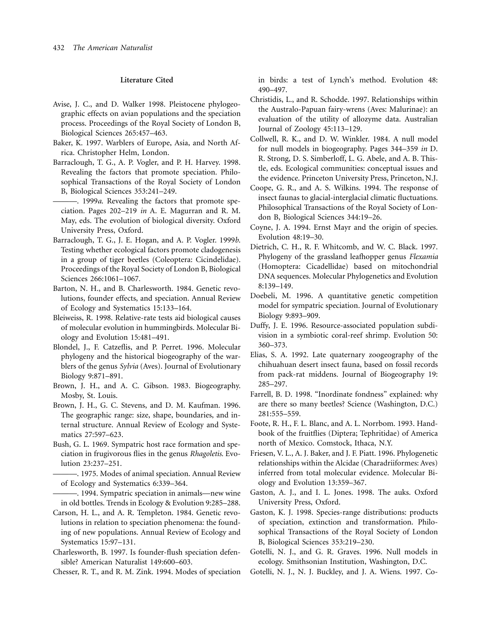## **Literature Cited**

- Avise, J. C., and D. Walker 1998. Pleistocene phylogeographic effects on avian populations and the speciation process. Proceedings of the Royal Society of London B, Biological Sciences 265:457–463.
- Baker, K. 1997. Warblers of Europe, Asia, and North Africa. Christopher Helm, London.
- Barraclough, T. G., A. P. Vogler, and P. H. Harvey. 1998. Revealing the factors that promote speciation. Philosophical Transactions of the Royal Society of London B, Biological Sciences 353:241–249.
- ———. 1999*a*. Revealing the factors that promote speciation. Pages 202–219 *in* A. E. Magurran and R. M. May, eds. The evolution of biological diversity. Oxford University Press, Oxford.
- Barraclough, T. G., J. E. Hogan, and A. P. Vogler. 1999*b*. Testing whether ecological factors promote cladogenesis in a group of tiger beetles (Coleoptera: Cicindelidae). Proceedings of the Royal Society of London B, Biological Sciences 266:1061–1067.
- Barton, N. H., and B. Charlesworth. 1984. Genetic revolutions, founder effects, and speciation. Annual Review of Ecology and Systematics 15:133–164.
- Bleiweiss, R. 1998. Relative-rate tests aid biological causes of molecular evolution in hummingbirds. Molecular Biology and Evolution 15:481–491.
- Blondel, J., F. Catzeflis, and P. Perret. 1996. Molecular phylogeny and the historical biogeography of the warblers of the genus *Sylvia* (Aves). Journal of Evolutionary Biology 9:871–891.
- Brown, J. H., and A. C. Gibson. 1983. Biogeography. Mosby, St. Louis.
- Brown, J. H., G. C. Stevens, and D. M. Kaufman. 1996. The geographic range: size, shape, boundaries, and internal structure. Annual Review of Ecology and Systematics 27:597–623.
- Bush, G. L. 1969. Sympatric host race formation and speciation in frugivorous flies in the genus *Rhagoletis*. Evolution 23:237–251.
	- ———. 1975. Modes of animal speciation. Annual Review of Ecology and Systematics 6:339–364.
	- ———. 1994. Sympatric speciation in animals—new wine in old bottles. Trends in Ecology & Evolution 9:285–288.
- Carson, H. L., and A. R. Templeton. 1984. Genetic revolutions in relation to speciation phenomena: the founding of new populations. Annual Review of Ecology and Systematics 15:97–131.
- Charlesworth, B. 1997. Is founder-flush speciation defensible? American Naturalist 149:600–603.

Chesser, R. T., and R. M. Zink. 1994. Modes of speciation

in birds: a test of Lynch's method. Evolution 48: 490–497.

- Christidis, L., and R. Schodde. 1997. Relationships within the Australo-Papuan fairy-wrens (Aves: Malurinae): an evaluation of the utility of allozyme data. Australian Journal of Zoology 45:113–129.
- Collwell, R. K., and D. W. Winkler. 1984. A null model for null models in biogeography. Pages 344–359 *in* D. R. Strong, D. S. Simberloff, L. G. Abele, and A. B. Thistle, eds. Ecological communities: conceptual issues and the evidence. Princeton University Press, Princeton, N.J.
- Coope, G. R., and A. S. Wilkins. 1994. The response of insect faunas to glacial-interglacial climatic fluctuations. Philosophical Transactions of the Royal Society of London B, Biological Sciences 344:19–26.
- Coyne, J. A. 1994. Ernst Mayr and the origin of species. Evolution 48:19–30.
- Dietrich, C. H., R. F. Whitcomb, and W. C. Black. 1997. Phylogeny of the grassland leafhopper genus *Flexamia* (Homoptera: Cicadellidae) based on mitochondrial DNA sequences. Molecular Phylogenetics and Evolution 8:139–149.
- Doebeli, M. 1996. A quantitative genetic competition model for sympatric speciation. Journal of Evolutionary Biology 9:893–909.
- Duffy, J. E. 1996. Resource-associated population subdivision in a symbiotic coral-reef shrimp. Evolution 50: 360–373.
- Elias, S. A. 1992. Late quaternary zoogeography of the chihuahuan desert insect fauna, based on fossil records from pack-rat middens. Journal of Biogeography 19: 285–297.
- Farrell, B. D. 1998. "Inordinate fondness" explained: why are there so many beetles? Science (Washington, D.C.) 281:555–559.
- Foote, R. H., F. L. Blanc, and A. L. Norrbom. 1993. Handbook of the fruitflies (Diptera; Tephritidae) of America north of Mexico. Comstock, Ithaca, N.Y.
- Friesen, V. L., A. J. Baker, and J. F. Piatt. 1996. Phylogenetic relationships within the Alcidae (Charadriiformes: Aves) inferred from total molecular evidence. Molecular Biology and Evolution 13:359–367.
- Gaston, A. J., and I. L. Jones. 1998. The auks. Oxford University Press, Oxford.
- Gaston, K. J. 1998. Species-range distributions: products of speciation, extinction and transformation. Philosophical Transactions of the Royal Society of London B, Biological Sciences 353:219–230.
- Gotelli, N. J., and G. R. Graves. 1996. Null models in ecology. Smithsonian Institution, Washington, D.C.
- Gotelli, N. J., N. J. Buckley, and J. A. Wiens. 1997. Co-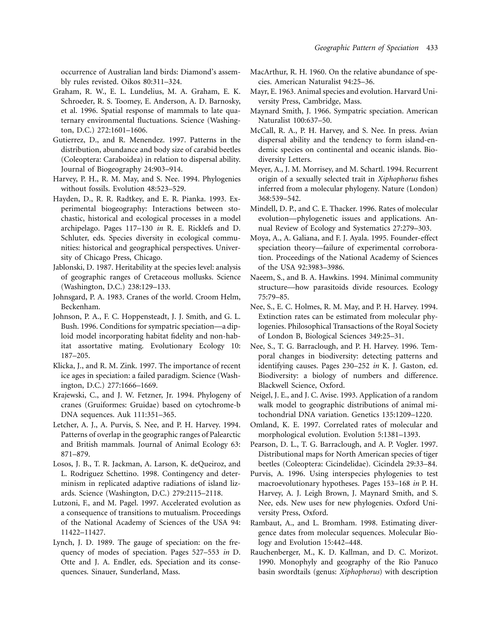occurrence of Australian land birds: Diamond's assembly rules revisted. Oikos 80:311–324.

- Graham, R. W., E. L. Lundelius, M. A. Graham, E. K. Schroeder, R. S. Toomey, E. Anderson, A. D. Barnosky, et al. 1996. Spatial response of mammals to late quaternary environmental fluctuations. Science (Washington, D.C.) 272:1601–1606.
- Gutierrez, D., and R. Menendez. 1997. Patterns in the distribution, abundance and body size of carabid beetles (Coleoptera: Caraboidea) in relation to dispersal ability. Journal of Biogeography 24:903–914.
- Harvey, P. H., R. M. May, and S. Nee. 1994. Phylogenies without fossils. Evolution 48:523–529.
- Hayden, D., R. R. Radtkey, and E. R. Pianka. 1993. Experimental biogeography: Interactions between stochastic, historical and ecological processes in a model archipelago. Pages 117–130 *in* R. E. Ricklefs and D. Schluter, eds. Species diversity in ecological communities: historical and geographical perspectives. University of Chicago Press, Chicago.
- Jablonski, D. 1987. Heritability at the species level: analysis of geographic ranges of Cretaceous mollusks. Science (Washington, D.C.) 238:129–133.
- Johnsgard, P. A. 1983. Cranes of the world. Croom Helm, Beckenham.
- Johnson, P. A., F. C. Hoppensteadt, J. J. Smith, and G. L. Bush. 1996. Conditions for sympatric speciation—a diploid model incorporating habitat fidelity and non-habitat assortative mating. Evolutionary Ecology 10: 187–205.
- Klicka, J., and R. M. Zink. 1997. The importance of recent ice ages in speciation: a failed paradigm. Science (Washington, D.C.) 277:1666–1669.
- Krajewski, C., and J. W. Fetzner, Jr. 1994. Phylogeny of cranes (Gruiformes: Gruidae) based on cytochrome-b DNA sequences. Auk 111:351–365.
- Letcher, A. J., A. Purvis, S. Nee, and P. H. Harvey. 1994. Patterns of overlap in the geographic ranges of Palearctic and British mammals. Journal of Animal Ecology 63: 871–879.
- Losos, J. B., T. R. Jackman, A. Larson, K. deQueiroz, and L. Rodriguez Schettino. 1998. Contingency and determinism in replicated adaptive radiations of island lizards. Science (Washington, D.C.) 279:2115–2118.
- Lutzoni, F., and M. Pagel. 1997. Accelerated evolution as a consequence of transitions to mutualism. Proceedings of the National Academy of Sciences of the USA 94: 11422–11427.
- Lynch, J. D. 1989. The gauge of speciation: on the frequency of modes of speciation. Pages 527–553 *in* D. Otte and J. A. Endler, eds. Speciation and its consequences. Sinauer, Sunderland, Mass.
- MacArthur, R. H. 1960. On the relative abundance of species. American Naturalist 94:25–36.
- Mayr, E. 1963. Animal species and evolution. Harvard University Press, Cambridge, Mass.
- Maynard Smith, J. 1966. Sympatric speciation. American Naturalist 100:637–50.
- McCall, R. A., P. H. Harvey, and S. Nee. In press. Avian dispersal ability and the tendency to form island-endemic species on continental and oceanic islands. Biodiversity Letters.
- Meyer, A., J. M. Morrisey, and M. Schartl. 1994. Recurrent origin of a sexually selected trait in *Xiphophorus* fishes inferred from a molecular phylogeny. Nature (London) 368:539–542.
- Mindell, D. P., and C. E. Thacker. 1996. Rates of molecular evolution—phylogenetic issues and applications. Annual Review of Ecology and Systematics 27:279–303.
- Moya, A., A. Galiana, and F. J. Ayala. 1995. Founder-effect speciation theory—failure of experimental corroboration. Proceedings of the National Academy of Sciences of the USA 92:3983–3986.
- Naeem, S., and B. A. Hawkins. 1994. Minimal community structure—how parasitoids divide resources. Ecology 75:79–85.
- Nee, S., E. C. Holmes, R. M. May, and P. H. Harvey. 1994. Extinction rates can be estimated from molecular phylogenies. Philosophical Transactions of the Royal Society of London B, Biological Sciences 349:25–31.
- Nee, S., T. G. Barraclough, and P. H. Harvey. 1996. Temporal changes in biodiversity: detecting patterns and identifying causes. Pages 230–252 *in* K. J. Gaston, ed. Biodiversity: a biology of numbers and difference. Blackwell Science, Oxford.
- Neigel, J. E., and J. C. Avise. 1993. Application of a random walk model to geographic distributions of animal mitochondrial DNA variation. Genetics 135:1209–1220.
- Omland, K. E. 1997. Correlated rates of molecular and morphological evolution. Evolution 5:1381–1393.
- Pearson, D. L., T. G. Barraclough, and A. P. Vogler. 1997. Distributional maps for North American species of tiger beetles (Coleoptera: Cicindelidae). Cicindela 29:33–84.
- Purvis, A. 1996. Using interspecies phylogenies to test macroevolutionary hypotheses. Pages 153–168 *in* P. H. Harvey, A. J. Leigh Brown, J. Maynard Smith, and S. Nee, eds. New uses for new phylogenies. Oxford University Press, Oxford.
- Rambaut, A., and L. Bromham. 1998. Estimating divergence dates from molecular sequences. Molecular Biology and Evolution 15:442–448.
- Rauchenberger, M., K. D. Kallman, and D. C. Morizot. 1990. Monophyly and geography of the Rio Panuco basin swordtails (genus: *Xiphophorus*) with description